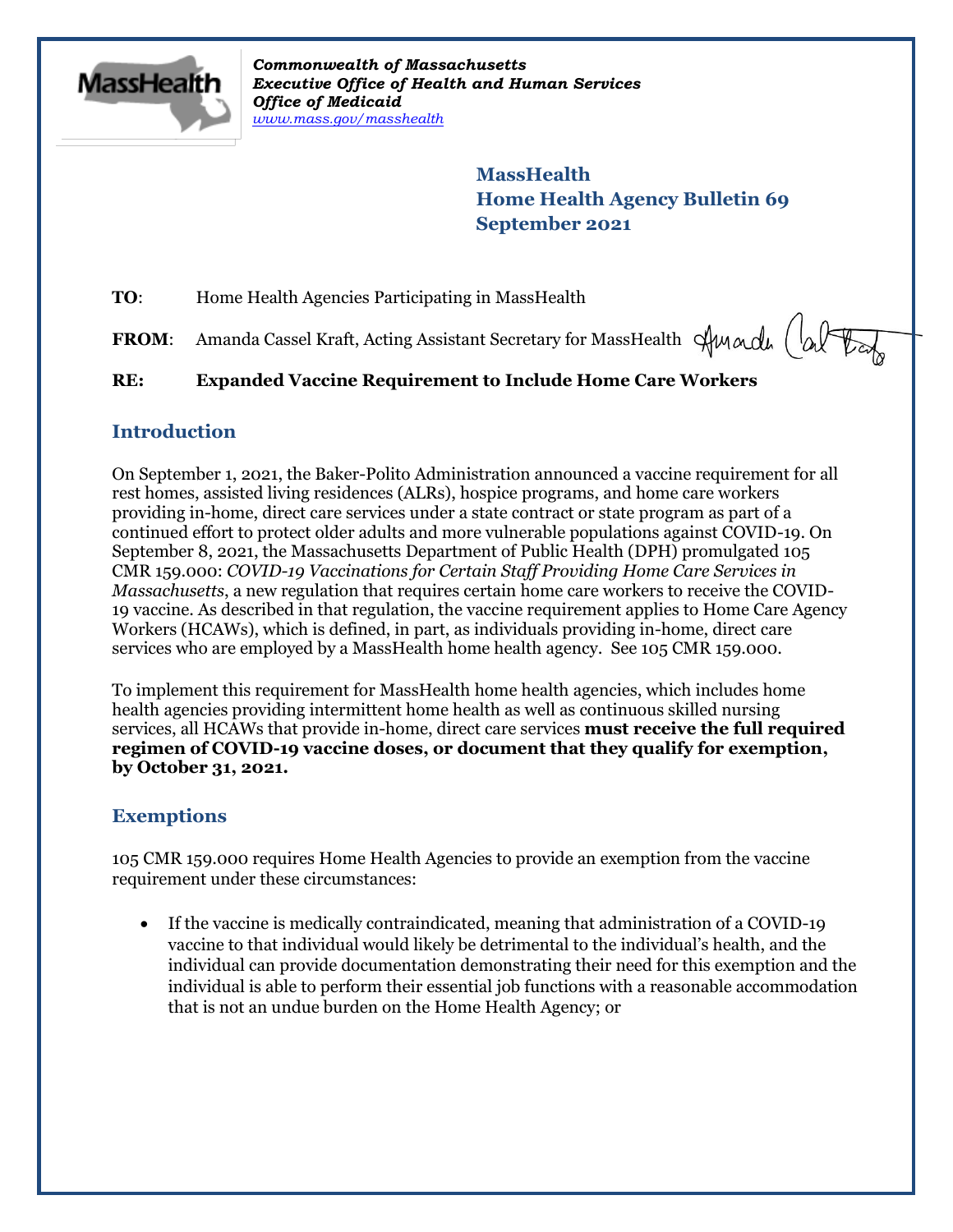

*Commonwealth of Massachusetts Executive Office of Health and Human Services Office of Medicaid [www.mass.gov/masshealth](http://www.mass.gov/masshealth)*

> **MassHealth Home Health Agency Bulletin 69 September 2021**

**TO:** Home Health Agencies Participating in MassHealth

FROM: Amanda Cassel Kraft, Acting Assistant Secretary for MassHealth Sunda (alter

### **RE: Expanded Vaccine Requirement to Include Home Care Workers**

#### **Introduction**

On September 1, 2021, the Baker-Polito Administration announced a vaccine requirement for all rest homes, assisted living residences (ALRs), hospice programs, and home care workers providing in-home, direct care services under a state contract or state program as part of a continued effort to protect older adults and more vulnerable populations against COVID-19. On September 8, 2021, the Massachusetts Department of Public Health (DPH) promulgated 105 CMR 159.000: *COVID-19 Vaccinations for Certain Staff Providing Home Care Services in Massachusetts*, a new regulation that requires certain home care workers to receive the COVID-19 vaccine. As described in that regulation, the vaccine requirement applies to Home Care Agency Workers (HCAWs), which is defined, in part, as individuals providing in-home, direct care services who are employed by a MassHealth home health agency. See 105 CMR 159.000.

To implement this requirement for MassHealth home health agencies, which includes home health agencies providing intermittent home health as well as continuous skilled nursing services, all HCAWs that provide in-home, direct care services **must receive the full required regimen of COVID-19 vaccine doses, or document that they qualify for exemption, by October 31, 2021.** 

## **Exemptions**

105 CMR 159.000 requires Home Health Agencies to provide an exemption from the vaccine requirement under these circumstances:

 If the vaccine is medically contraindicated, meaning that administration of a COVID-19 vaccine to that individual would likely be detrimental to the individual's health, and the individual can provide documentation demonstrating their need for this exemption and the individual is able to perform their essential job functions with a reasonable accommodation that is not an undue burden on the Home Health Agency; or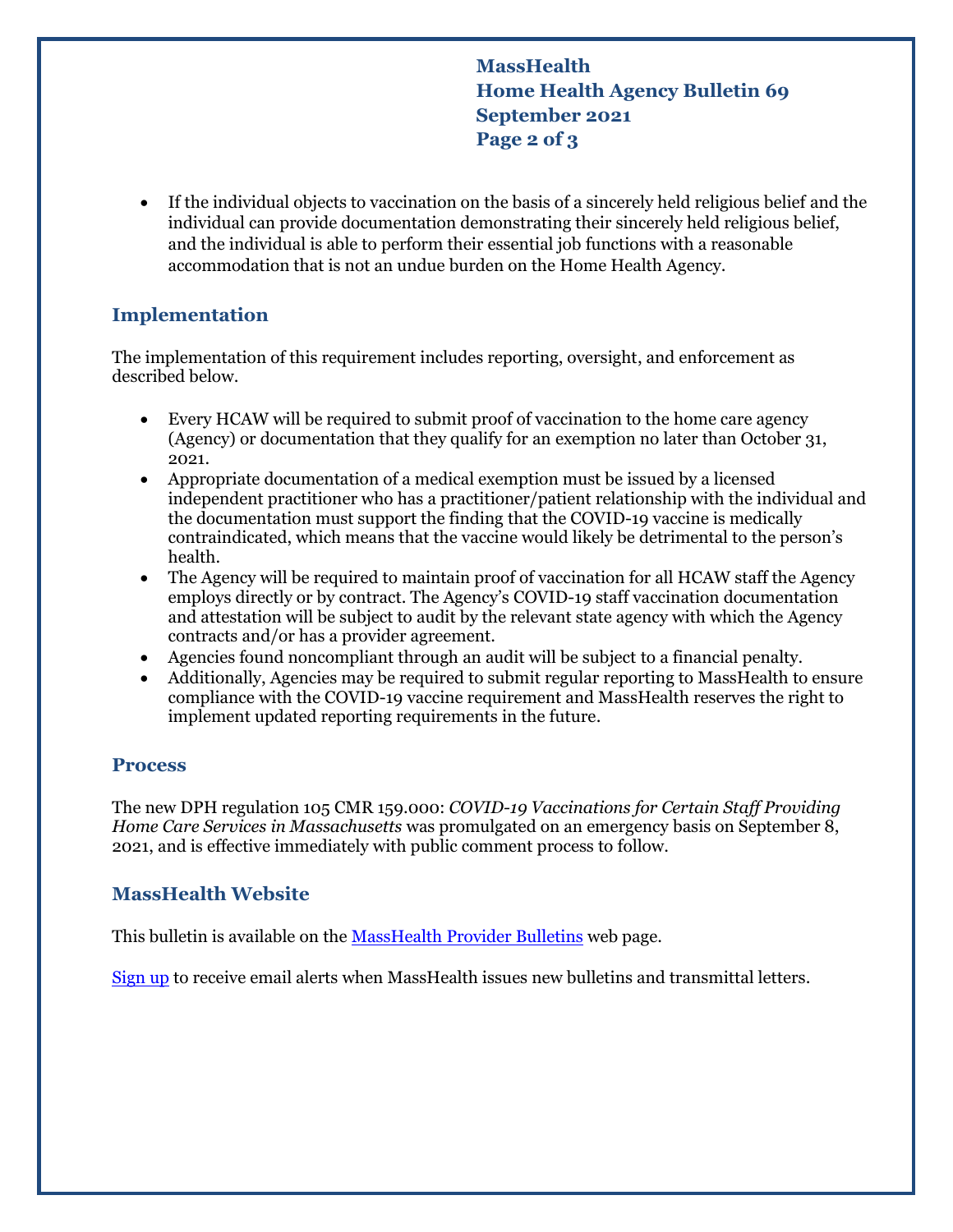**MassHealth Home Health Agency Bulletin 69 September 2021 Page 2 of 3**

 If the individual objects to vaccination on the basis of a sincerely held religious belief and the individual can provide documentation demonstrating their sincerely held religious belief, and the individual is able to perform their essential job functions with a reasonable accommodation that is not an undue burden on the Home Health Agency.

#### **Implementation**

The implementation of this requirement includes reporting, oversight, and enforcement as described below.

- Every HCAW will be required to submit proof of vaccination to the home care agency (Agency) or documentation that they qualify for an exemption no later than October 31, 2021.
- Appropriate documentation of a medical exemption must be issued by a licensed independent practitioner who has a practitioner/patient relationship with the individual and the documentation must support the finding that the COVID-19 vaccine is medically contraindicated, which means that the vaccine would likely be detrimental to the person's health.
- The Agency will be required to maintain proof of vaccination for all HCAW staff the Agency employs directly or by contract. The Agency's COVID-19 staff vaccination documentation and attestation will be subject to audit by the relevant state agency with which the Agency contracts and/or has a provider agreement.
- Agencies found noncompliant through an audit will be subject to a financial penalty.
- Additionally, Agencies may be required to submit regular reporting to MassHealth to ensure compliance with the COVID-19 vaccine requirement and MassHealth reserves the right to implement updated reporting requirements in the future.

#### **Process**

The new DPH regulation 105 CMR 159.000: *COVID-19 Vaccinations for Certain Staff Providing Home Care Services in Massachusetts* was promulgated on an emergency basis on September 8, 2021, and is effective immediately with public comment process to follow.

## **MassHealth Website**

This bulletin is available on th[e MassHealth Provider Bulletins](http://www.mass.gov/masshealth-provider-bulletins) web page.

[Sign up](https://www.mass.gov/forms/email-notifications-for-masshealth-provider-bulletins-and-transmittal-letters) to receive email alerts when MassHealth issues new bulletins and transmittal letters.